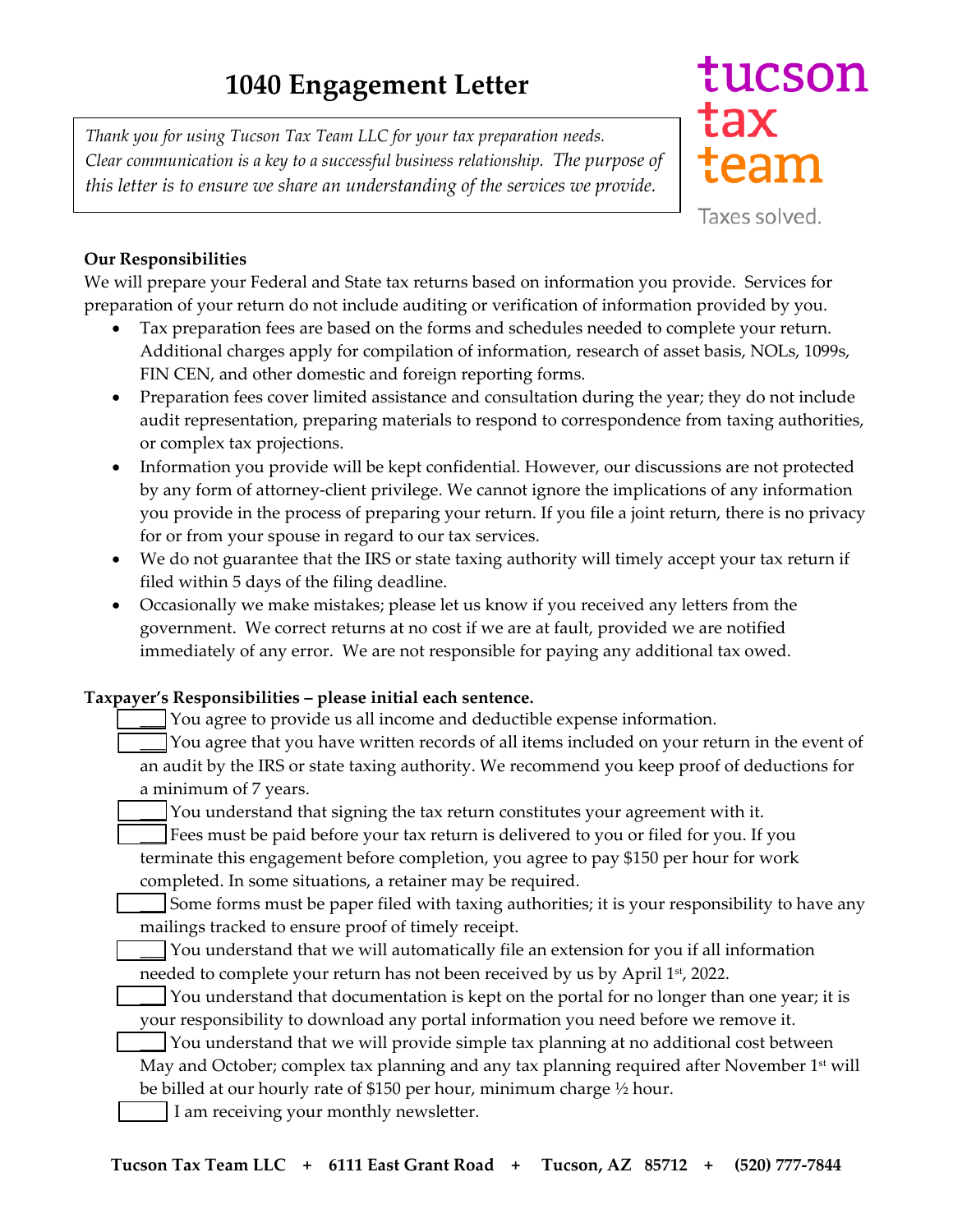*Thank you for using Tucson Tax Team LLC for your tax preparation needs. Clear communication is a key to a successful business relationship. The purpose of this letter is to ensure we share an understanding of the services we provide.*

## tucson tax team

Taxes solved.

## **Our Responsibilities**

We will prepare your Federal and State tax returns based on information you provide. Services for preparation of your return do not include auditing or verification of information provided by you.

- Tax preparation fees are based on the forms and schedules needed to complete your return. Additional charges apply for compilation of information, research of asset basis, NOLs, 1099s, FIN CEN, and other domestic and foreign reporting forms.
- Preparation fees cover limited assistance and consultation during the year; they do not include audit representation, preparing materials to respond to correspondence from taxing authorities, or complex tax projections.
- Information you provide will be kept confidential. However, our discussions are not protected by any form of attorney-client privilege. We cannot ignore the implications of any information you provide in the process of preparing your return. If you file a joint return, there is no privacy for or from your spouse in regard to our tax services.
- We do not guarantee that the IRS or state taxing authority will timely accept your tax return if filed within 5 days of the filing deadline.
- Occasionally we make mistakes; please let us know if you received any letters from the government. We correct returns at no cost if we are at fault, provided we are notified immediately of any error. We are not responsible for paying any additional tax owed.

## **Taxpayer's Responsibilities – please initial each sentence.**

\_\_\_ You agree to provide us all income and deductible expense information.

\_\_\_ You agree that you have written records of all items included on your return in the event of an audit by the IRS or state taxing authority. We recommend you keep proof of deductions for a minimum of 7 years.

You understand that signing the tax return constitutes your agreement with it.

\_\_\_ Fees must be paid before your tax return is delivered to you or filed for you. If you terminate this engagement before completion, you agree to pay \$150 per hour for work completed. In some situations, a retainer may be required.

\_\_\_ Some forms must be paper filed with taxing authorities; it is your responsibility to have any mailings tracked to ensure proof of timely receipt.

\_\_\_ You understand that we will automatically file an extension for you if all information needed to complete your return has not been received by us by April 1st, 2022.

You understand that documentation is kept on the portal for no longer than one year; it is your responsibility to download any portal information you need before we remove it.

You understand that we will provide simple tax planning at no additional cost between May and October; complex tax planning and any tax planning required after November 1<sup>st</sup> will be billed at our hourly rate of \$150 per hour, minimum charge ½ hour.

I am receiving your monthly newsletter.